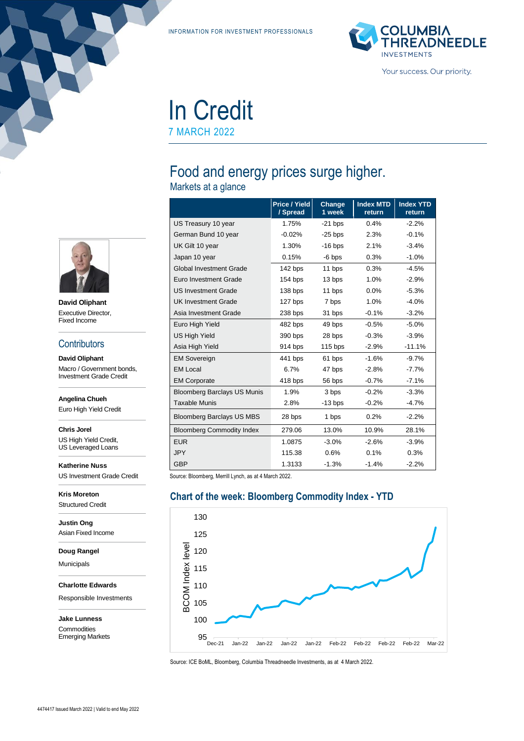INFORMATION FOR INVESTMENT PROFESSIONALS



In Credit 7 MARCH 2022

# Food and energy prices surge higher.

Markets at a glance

|                                    | Price / Yield<br>/ Spread | Change<br>1 week | <b>Index MTD</b><br>return | <b>Index YTD</b><br>return |
|------------------------------------|---------------------------|------------------|----------------------------|----------------------------|
| US Treasury 10 year                | 1.75%                     | $-21$ bps        | 0.4%                       | $-2.2%$                    |
| German Bund 10 year                | $-0.02%$                  | $-25$ bps        | 2.3%                       | $-0.1%$                    |
| UK Gilt 10 year                    | 1.30%                     | $-16$ bps        | 2.1%                       | $-3.4%$                    |
| Japan 10 year                      | 0.15%                     | $-6$ bps         | 0.3%                       | $-1.0%$                    |
| <b>Global Investment Grade</b>     | 142 bps                   | 11 bps           | 0.3%                       | $-4.5%$                    |
| Euro Investment Grade              | 154 bps                   | 13 bps           | 1.0%                       | $-2.9%$                    |
| <b>US Investment Grade</b>         | 138 bps                   | 11 bps           | $0.0\%$                    | $-5.3%$                    |
| <b>UK Investment Grade</b>         | 127 bps                   | 7 bps            | 1.0%                       | $-4.0%$                    |
| Asia Investment Grade              | 238 bps                   | 31 bps           | $-0.1%$                    | $-3.2%$                    |
| Euro High Yield                    | 482 bps                   | 49 bps           | $-0.5%$                    | $-5.0%$                    |
| <b>US High Yield</b>               | 390 bps                   | 28 bps           | $-0.3%$                    | $-3.9%$                    |
| Asia High Yield                    | 914 bps                   | $115$ bps        | $-2.9%$                    | $-11.1%$                   |
| <b>EM Sovereign</b>                | 441 bps                   | 61 bps           | $-1.6%$                    | $-9.7%$                    |
| <b>EM Local</b>                    | 6.7%                      | 47 bps           | $-2.8%$                    | $-7.7%$                    |
| <b>EM Corporate</b>                | 418 bps                   | 56 bps           | $-0.7%$                    | $-7.1%$                    |
| <b>Bloomberg Barclays US Munis</b> | 1.9%                      | 3 bps            | $-0.2%$                    | $-3.3%$                    |
| <b>Taxable Munis</b>               | 2.8%                      | $-13$ bps        | $-0.2%$                    | $-4.7%$                    |
| <b>Bloomberg Barclays US MBS</b>   | 28 bps                    | 1 bps            | 0.2%                       | $-2.2%$                    |
| <b>Bloomberg Commodity Index</b>   | 279.06                    | 13.0%            | 10.9%                      | 28.1%                      |
| <b>EUR</b>                         | 1.0875                    | $-3.0%$          | $-2.6%$                    | $-3.9%$                    |
| <b>JPY</b>                         | 115.38                    | 0.6%             | 0.1%                       | 0.3%                       |
| <b>GBP</b>                         | 1.3133                    | $-1.3%$          | $-1.4%$                    | $-2.2%$                    |

Source: Bloomberg, Merrill Lynch, as at 4 March 2022.

## **Chart of the week: Bloomberg Commodity Index - YTD**



Source: ICE BoML, Bloomberg, Columbia Threadneedle Investments, as at 4 March 2022.



**David Oliphant** Executive Director, Fixed Income

#### **Contributors**

**David Oliphant** Macro / Government bonds, Investment Grade Credit

**Angelina Chueh**

Euro High Yield Credit

**Chris Jorel**

US High Yield Credit, US Leveraged Loans

**Katherine Nuss** US Investment Grade Credit

**Kris Moreton** Structured Credit

**Justin Ong** Asian Fixed Income

**Doug Rangel**

Municipals

**Charlotte Edwards**

Responsible Investments

**Jake Lunness Commodities** Emerging Markets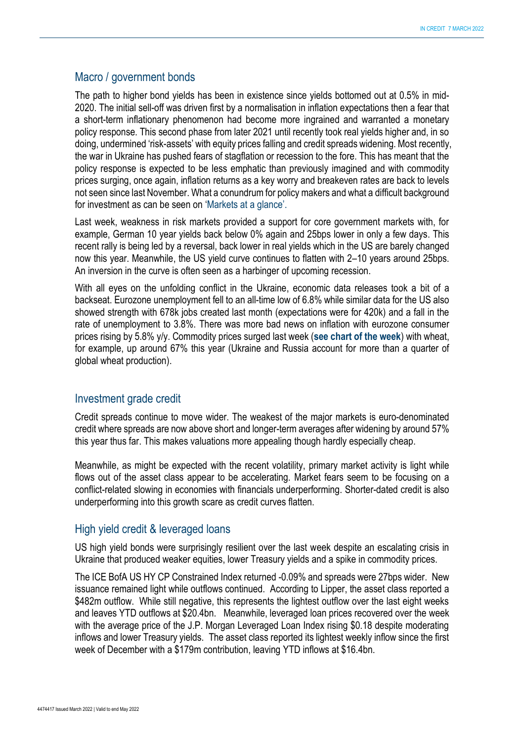#### Macro / government bonds

The path to higher bond yields has been in existence since yields bottomed out at 0.5% in mid-2020. The initial sell-off was driven first by a normalisation in inflation expectations then a fear that a short-term inflationary phenomenon had become more ingrained and warranted a monetary policy response. This second phase from later 2021 until recently took real yields higher and, in so doing, undermined 'risk-assets' with equity prices falling and credit spreads widening. Most recently, the war in Ukraine has pushed fears of stagflation or recession to the fore. This has meant that the policy response is expected to be less emphatic than previously imagined and with commodity prices surging, once again, inflation returns as a key worry and breakeven rates are back to levels not seen since last November. What a conundrum for policy makers and what a difficult background for investment as can be seen on 'Markets at a glance'.

Last week, weakness in risk markets provided a support for core government markets with, for example, German 10 year yields back below 0% again and 25bps lower in only a few days. This recent rally is being led by a reversal, back lower in real yields which in the US are barely changed now this year. Meanwhile, the US yield curve continues to flatten with 2–10 years around 25bps. An inversion in the curve is often seen as a harbinger of upcoming recession.

With all eyes on the unfolding conflict in the Ukraine, economic data releases took a bit of a backseat. Eurozone unemployment fell to an all-time low of 6.8% while similar data for the US also showed strength with 678k jobs created last month (expectations were for 420k) and a fall in the rate of unemployment to 3.8%. There was more bad news on inflation with eurozone consumer prices rising by 5.8% y/y. Commodity prices surged last week (**see chart of the week**) with wheat, for example, up around 67% this year (Ukraine and Russia account for more than a quarter of global wheat production).

#### Investment grade credit

Credit spreads continue to move wider. The weakest of the major markets is euro-denominated credit where spreads are now above short and longer-term averages after widening by around 57% this year thus far. This makes valuations more appealing though hardly especially cheap.

Meanwhile, as might be expected with the recent volatility, primary market activity is light while flows out of the asset class appear to be accelerating. Market fears seem to be focusing on a conflict-related slowing in economies with financials underperforming. Shorter-dated credit is also underperforming into this growth scare as credit curves flatten.

#### High yield credit & leveraged loans

US high yield bonds were surprisingly resilient over the last week despite an escalating crisis in Ukraine that produced weaker equities, lower Treasury yields and a spike in commodity prices.

The ICE BofA US HY CP Constrained Index returned -0.09% and spreads were 27bps wider. New issuance remained light while outflows continued. According to Lipper, the asset class reported a \$482m outflow. While still negative, this represents the lightest outflow over the last eight weeks and leaves YTD outflows at \$20.4bn. Meanwhile, leveraged loan prices recovered over the week with the average price of the J.P. Morgan Leveraged Loan Index rising \$0.18 despite moderating inflows and lower Treasury yields. The asset class reported its lightest weekly inflow since the first week of December with a \$179m contribution, leaving YTD inflows at \$16.4bn.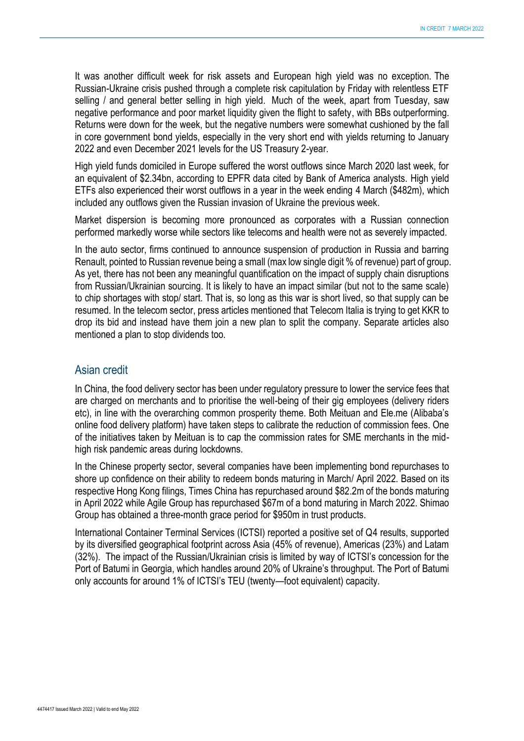It was another difficult week for risk assets and European high yield was no exception. The Russian-Ukraine crisis pushed through a complete risk capitulation by Friday with relentless ETF selling / and general better selling in high yield. Much of the week, apart from Tuesday, saw negative performance and poor market liquidity given the flight to safety, with BBs outperforming. Returns were down for the week, but the negative numbers were somewhat cushioned by the fall in core government bond yields, especially in the very short end with yields returning to January 2022 and even December 2021 levels for the US Treasury 2-year.

High yield funds domiciled in Europe suffered the worst outflows since March 2020 last week, for an equivalent of \$2.34bn, according to EPFR data cited by Bank of America analysts. High yield ETFs also experienced their worst outflows in a year in the week ending 4 March (\$482m), which included any outflows given the Russian invasion of Ukraine the previous week.

Market dispersion is becoming more pronounced as corporates with a Russian connection performed markedly worse while sectors like telecoms and health were not as severely impacted.

In the auto sector, firms continued to announce suspension of production in Russia and barring Renault, pointed to Russian revenue being a small (max low single digit % of revenue) part of group. As yet, there has not been any meaningful quantification on the impact of supply chain disruptions from Russian/Ukrainian sourcing. It is likely to have an impact similar (but not to the same scale) to chip shortages with stop/ start. That is, so long as this war is short lived, so that supply can be resumed. In the telecom sector, press articles mentioned that Telecom Italia is trying to get KKR to drop its bid and instead have them join a new plan to split the company. Separate articles also mentioned a plan to stop dividends too.

#### Asian credit

In China, the food delivery sector has been under regulatory pressure to lower the service fees that are charged on merchants and to prioritise the well-being of their gig employees (delivery riders etc), in line with the overarching common prosperity theme. Both Meituan and Ele.me (Alibaba's online food delivery platform) have taken steps to calibrate the reduction of commission fees. One of the initiatives taken by Meituan is to cap the commission rates for SME merchants in the midhigh risk pandemic areas during lockdowns.

In the Chinese property sector, several companies have been implementing bond repurchases to shore up confidence on their ability to redeem bonds maturing in March/ April 2022. Based on its respective Hong Kong filings, Times China has repurchased around \$82.2m of the bonds maturing in April 2022 while Agile Group has repurchased \$67m of a bond maturing in March 2022. Shimao Group has obtained a three-month grace period for \$950m in trust products.

International Container Terminal Services (ICTSI) reported a positive set of Q4 results, supported by its diversified geographical footprint across Asia (45% of revenue), Americas (23%) and Latam (32%). The impact of the Russian/Ukrainian crisis is limited by way of ICTSI's concession for the Port of Batumi in Georgia, which handles around 20% of Ukraine's throughput. The Port of Batumi only accounts for around 1% of ICTSI's TEU (twenty—foot equivalent) capacity.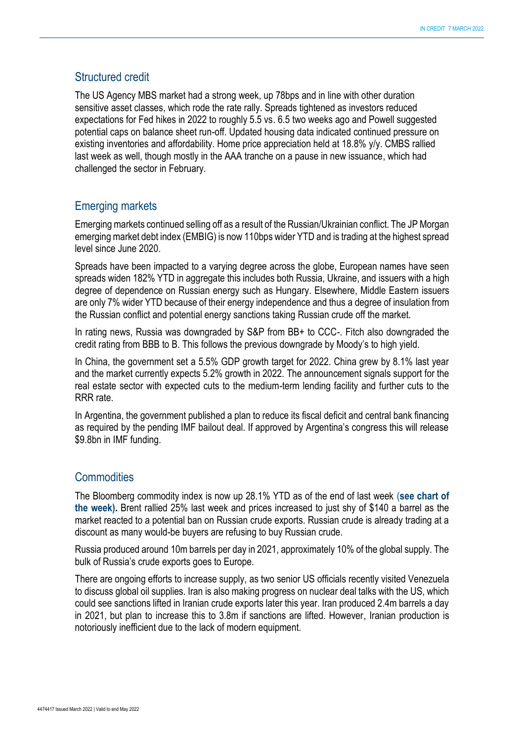#### Structured credit

The US Agency MBS market had a strong week, up 78bps and in line with other duration sensitive asset classes, which rode the rate rally. Spreads tightened as investors reduced expectations for Fed hikes in 2022 to roughly 5.5 vs. 6.5 two weeks ago and Powell suggested potential caps on balance sheet run-off. Updated housing data indicated continued pressure on existing inventories and affordability. Home price appreciation held at 18.8% y/y. CMBS rallied last week as well, though mostly in the AAA tranche on a pause in new issuance, which had challenged the sector in February.

#### Emerging markets

Emerging markets continued selling off as a result of the Russian/Ukrainian conflict. The JP Morgan emerging market debt index (EMBIG) is now 110bps wider YTD and is trading at the highest spread level since June 2020.

Spreads have been impacted to a varying degree across the globe, European names have seen spreads widen 182% YTD in aggregate this includes both Russia, Ukraine, and issuers with a high degree of dependence on Russian energy such as Hungary. Elsewhere, Middle Eastern issuers are only 7% wider YTD because of their energy independence and thus a degree of insulation from the Russian conflict and potential energy sanctions taking Russian crude off the market.

In rating news, Russia was downgraded by S&P from BB+ to CCC-. Fitch also downgraded the credit rating from BBB to B. This follows the previous downgrade by Moody's to high yield.

In China, the government set a 5.5% GDP growth target for 2022. China grew by 8.1% last year and the market currently expects 5.2% growth in 2022. The announcement signals support for the real estate sector with expected cuts to the medium-term lending facility and further cuts to the RRR rate.

In Argentina, the government published a plan to reduce its fiscal deficit and central bank financing as required by the pending IMF bailout deal. If approved by Argentina's congress this will release \$9.8bn in IMF funding.

#### **Commodities**

The Bloomberg commodity index is now up 28.1% YTD as of the end of last week (**see chart of the week).** Brent rallied 25% last week and prices increased to just shy of \$140 a barrel as the market reacted to a potential ban on Russian crude exports. Russian crude is already trading at a discount as many would-be buyers are refusing to buy Russian crude.

Russia produced around 10m barrels per day in 2021, approximately 10% of the global supply. The bulk of Russia's crude exports goes to Europe.

There are ongoing efforts to increase supply, as two senior US officials recently visited Venezuela to discuss global oil supplies. Iran is also making progress on nuclear deal talks with the US, which could see sanctions lifted in Iranian crude exports later this year. Iran produced 2.4m barrels a day in 2021, but plan to increase this to 3.8m if sanctions are lifted. However, Iranian production is notoriously inefficient due to the lack of modern equipment.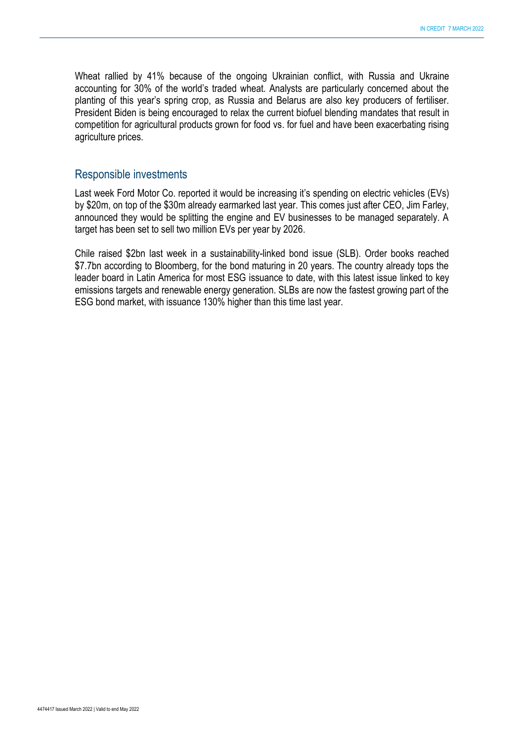Wheat rallied by 41% because of the ongoing Ukrainian conflict, with Russia and Ukraine accounting for 30% of the world's traded wheat. Analysts are particularly concerned about the planting of this year's spring crop, as Russia and Belarus are also key producers of fertiliser. President Biden is being encouraged to relax the current biofuel blending mandates that result in competition for agricultural products grown for food vs. for fuel and have been exacerbating rising agriculture prices.

#### Responsible investments

Last week Ford Motor Co. reported it would be increasing it's spending on electric vehicles (EVs) by \$20m, on top of the \$30m already earmarked last year. This comes just after CEO, Jim Farley, announced they would be splitting the engine and EV businesses to be managed separately. A target has been set to sell two million EVs per year by 2026.

Chile raised \$2bn last week in a sustainability-linked bond issue (SLB). Order books reached \$7.7bn according to Bloomberg, for the bond maturing in 20 years. The country already tops the leader board in Latin America for most ESG issuance to date, with this latest issue linked to key emissions targets and renewable energy generation. SLBs are now the fastest growing part of the ESG bond market, with issuance 130% higher than this time last year.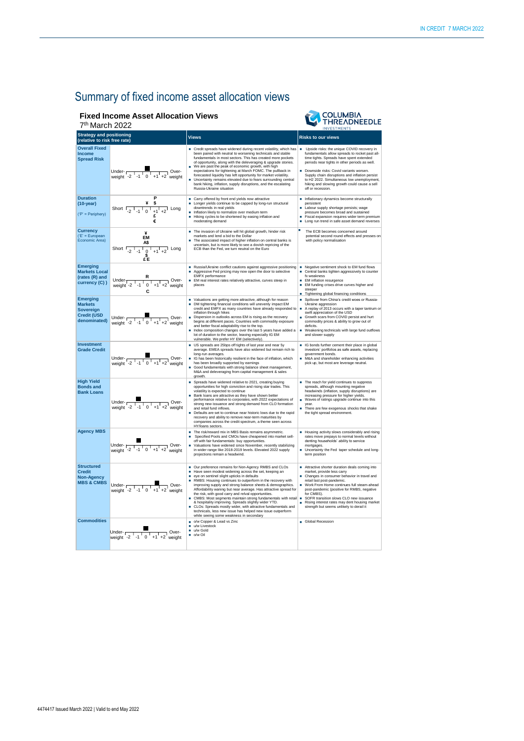■ Upside risks: the unique COVID recovery in<br>fundamentals allow spreads to rocket past all-<br>time tights. Spreads have spent extended<br>periods near tights in other periods as well.

**COLUMBIA**<br>THREADNEEDLE

■ Downside risks: Covid variants worsen.<br>Supply chain disruptions and inflation persist<br>to H2 2022. Simultaneous low unemployment,<br>hiking and slowing growth could cause a sell periods riear lights in other periods as well.<br> **Common Sympty changes**<br>
Supply chain distruptions and inflation persist<br>
to H2 2022. Simultaneous low unemployment,<br>
hiking and slowing growth could cause a sell<br>
off or rec

## Summary of fixed income asset allocation views

### **Fixed Income Asset Allocation View**

| <b>Fixed Income Asset Allocation Views</b><br>COLU<br>HRE<br>7 <sup>th</sup> March 2022<br><b>INVESTM</b> |                                                                                                                                         |                                                                                                                                                                                                                                                                                                                                                                                                                                                                                                                                                                                                                        |                                                                                                                                                                                                                                |  |  |
|-----------------------------------------------------------------------------------------------------------|-----------------------------------------------------------------------------------------------------------------------------------------|------------------------------------------------------------------------------------------------------------------------------------------------------------------------------------------------------------------------------------------------------------------------------------------------------------------------------------------------------------------------------------------------------------------------------------------------------------------------------------------------------------------------------------------------------------------------------------------------------------------------|--------------------------------------------------------------------------------------------------------------------------------------------------------------------------------------------------------------------------------|--|--|
| <b>Strategy and positioning</b><br>(relative to risk free rate)                                           |                                                                                                                                         | <b>Views</b>                                                                                                                                                                                                                                                                                                                                                                                                                                                                                                                                                                                                           | <b>Risks to our views</b>                                                                                                                                                                                                      |  |  |
| <b>Overall Fixed</b><br><b>Income</b><br><b>Spread Risk</b>                                               | Under- <sub>r</sub><br>-Over<br>Under- $\sqrt{\frac{1}{2} + \frac{1}{1} + \frac{1}{2}}$ Over-                                           | Credit spreads have widened during recent volatility, which has<br>been paired with neutral to worsening technicals and stable<br>fundamentals in most sectors. This has created more pockets<br>of opportunity, along with the deleveraging & upgrade stories.<br>We are past the peak of economic growth, with high<br>expectations for tightening at March FOMC. The pullback in<br>forecasted liquidity has left opportunity for market volatility.<br>Uncertainty remains elevated due to fears surrounding central<br>bank hiking, inflation, supply disruptions, and the escalating<br>Russia-Ukraine situation | Upside risks: the uniq<br>fundamentals allow sp<br>time tights. Spreads h<br>periods near tights in<br>Downside risks: Covic<br>Supply chain disruptio<br>to H2 2022. Simultane<br>hiking and slowing gro<br>off or recession. |  |  |
| <b>Duration</b><br>$(10-year)$<br>('P' = Periphery)                                                       | Short $\sqrt{2}$ $\sqrt{1}$ $\sqrt{0}$<br>Long<br>£                                                                                     | Carry offered by front end yields now attractive<br>Longer yields continue to be capped by long-run structural<br>downtrends in real yields<br>Inflation likely to normalize over medium term<br>Hiking cycles to be shortened by easing inflation and<br>moderating demand                                                                                                                                                                                                                                                                                                                                            | Inflationary dynamics<br>persistent<br>Labour supply shortac<br>pressure becomes bro<br>Fiscal expansion requ<br>Long run trend in safe                                                                                        |  |  |
| <b>Currency</b><br>('E' = European<br>Economic Area)                                                      | ¥<br><b>EM</b><br>A\$<br>Short $\frac{1}{2}$ $\frac{1}{-1}$ $\frac{1}{0}$ $\frac{1}{+1}$ $\frac{1}{+2}$ Long<br>$\epsilon^{\$}_{\rm E}$ | The invasion of Ukraine will hit global growth, hinder risk<br>markets and lend a bid to the Dollar<br>The associated impact of higher inflation on central banks is<br>uncertain, but is more likely to see a dovish repricing of the<br>ECB than the Fed, we turn neutral on the Euro                                                                                                                                                                                                                                                                                                                                | The ECB becomes co<br>potential second roun<br>with policy normalisat                                                                                                                                                          |  |  |
| <b>Emerging</b><br><b>Markets Local</b><br>(rates (R) and<br>currency (C))                                | R<br>Under-<br>Over-<br>$\frac{U(1)}{V}$ weight -2 $\frac{1}{1}$ -1 $\frac{1}{0}$ +1 +2 weight<br>С                                     | Russia/Ukraine conflict cautions against aggressive positioning<br>Aggressive Fed pricing may now open the door to selective<br><b>EMFX</b> performance<br>EM real interest rates relatively attractive, curves steep in<br>places                                                                                                                                                                                                                                                                                                                                                                                     | Negative sentiment sh<br>Central banks tighten<br>fx weakness<br><b>EM</b> inflation resurgend<br>EM funding crises driv<br>٠<br>steeper<br>Tightening global final<br>٠                                                       |  |  |
| <b>Emerging</b><br><b>Markets</b>                                                                         |                                                                                                                                         | Valuations are getting more attractive, although for reason<br>DM tightening financial conditions will unevenly impact EM<br>credit and EMEY as many countries have already responded to $\Box$ A replay of 2013 occu                                                                                                                                                                                                                                                                                                                                                                                                  | Spillover from China's<br>Ukraine aggression                                                                                                                                                                                   |  |  |

| Durauon<br>$(10-year)$<br>$('P' = Periphery)$                                        | Short $\frac{4}{-2}$ $\frac{4}{1}$ $\frac{5}{0}$ $\frac{1}{+1}$ $\frac{1}{+2}$ Long                                                                 | ■ Carry offered by front end yields now attractive<br>Longer yields continue to be capped by long-run structural<br>downtrends in real yields<br>Inflation likely to normalize over medium term<br>Hiking cycles to be shortened by easing inflation and<br>moderating demand                                                                                                                                                                                                                                                                                                                                                                                                                                     | Inflationary dynamics become structurally<br>persistent<br>٠<br>Labour supply shortage persists; wage<br>pressure becomes broad and sustained<br>Fiscal expansion requires wider term premium<br>٠<br>Long run trend in safe asset demand reverses                                                                                                                                                                |
|--------------------------------------------------------------------------------------|-----------------------------------------------------------------------------------------------------------------------------------------------------|-------------------------------------------------------------------------------------------------------------------------------------------------------------------------------------------------------------------------------------------------------------------------------------------------------------------------------------------------------------------------------------------------------------------------------------------------------------------------------------------------------------------------------------------------------------------------------------------------------------------------------------------------------------------------------------------------------------------|-------------------------------------------------------------------------------------------------------------------------------------------------------------------------------------------------------------------------------------------------------------------------------------------------------------------------------------------------------------------------------------------------------------------|
| <b>Currency</b><br>('E' = European<br>Economic Area)                                 | ¥<br>EM<br>Short $\frac{48}{-2^{1}-1^{1}+1^{1}+2}$ Long                                                                                             | The invasion of Ukraine will hit global growth, hinder risk<br>markets and lend a bid to the Dollar<br>The associated impact of higher inflation on central banks is<br>uncertain, but is more likely to see a dovish repricing of the<br>ECB than the Fed, we turn neutral on the Euro                                                                                                                                                                                                                                                                                                                                                                                                                           | п<br>The ECB becomes concerned around<br>potential second round effects and presses on<br>with policy normalisation                                                                                                                                                                                                                                                                                               |
| <b>Emerging</b><br><b>Markets Local</b><br>(rates (R) and<br>currency (C))           | Under- $R$<br>weight -2 $\begin{array}{c c} R \ \hline 1 & -1 & 0 \\ -1 & 0 & +1 & +2 \\ \hline \end{array}$ weight                                 | Russia/Ukraine conflict cautions against aggressive positioning<br>Aggressive Fed pricing may now open the door to selective<br>EMFX performance<br>EM real interest rates relatively attractive, curves steep in<br>places                                                                                                                                                                                                                                                                                                                                                                                                                                                                                       | Negative sentiment shock to EM fund flows<br>٠<br>Central banks tighten aggressively to counter<br>fx weakness<br>EM inflation resurgence<br>٠<br>EM funding crises drive curves higher and<br>steeper<br>Tightening global financing conditions                                                                                                                                                                  |
| <b>Emerging</b><br><b>Markets</b><br>Sovereign<br><b>Credit (USD</b><br>denominated) | Under- $\begin{array}{ c c c c }\n\hline\n\text{Under} & - & \text{Over}-\n\end{array}$ Over-<br>weight -2 -1 0 +1 +2 weight                        | Valuations are getting more attractive, although for reason<br>DM tightening financial conditions will unevenly impact EM<br>credit and EMFX as many countries have already responded to<br>inflation through hikes<br>Dispersion in outlooks across EM is rising as the recovery<br>begins at different paces. Countries with commodity exposure<br>and better fiscal adaptability rise to the top.<br>Index composition changes over the last 5 years have added a<br>lot of duration to the sector, leaving especially IG EM<br>vulnerable. We prefer HY EM (selectively).                                                                                                                                     | Spillover from China's credit woes or Russia-<br>Ukraine aggression<br>A replay of 2013 occurs with a taper tantrum or<br>٠<br>swift appreciation of the USD<br>٠<br>Growth scars from COVID persist and hurt<br>commodity prices & ability to grow out of<br>deficits.<br>Weakening technicals with large fund outflows<br>٠<br>and slower supply                                                                |
| <b>Investment</b><br><b>Grade Credit</b>                                             | Under- $\frac{2 \cdot 1}{2 \cdot 1 \cdot 1 \cdot 0 \cdot 1 + 1 \cdot 1}$ Over-                                                                      | US spreads are 25bps off tights of last year and near 5y<br>average. EMEA spreads have also widened but remain rich to<br>long-run averages.<br>IG has been historically resilient in the face of inflation, which<br>has been broadly supported by earnings<br>Good fundamentals with strong balance sheet management,<br>M&A and deleveraging from capital management & sales<br>growth.                                                                                                                                                                                                                                                                                                                        | G bonds further cement their place in global<br>investors' portfolios as safe assets, replacing<br>government bonds.<br>M&A and shareholder enhancing activities<br>pick up, but most are leverage neutral.                                                                                                                                                                                                       |
| <b>High Yield</b><br><b>Bonds and</b><br><b>Bank Loans</b>                           | Under- $\frac{1}{\sqrt{2} \cdot 1 \cdot 1 \cdot 0 \cdot 1 \cdot 1 \cdot 2}$ Over-                                                                   | Spreads have widened relative to 2021, creating buying<br>opportunities for high conviction and rising star trades. This<br>volatility is expected to continue<br>Bank loans are attractive as they have shown better<br>performance relative to corporates, with 2022 expectations of<br>strong new issuance and strong demand from CLO formation<br>and retail fund inflows.<br>Defaults are set to continue near historic lows due to the rapid<br>recovery and ability to remove near-term maturities by<br>companies across the credit spectrum, a theme seen across<br>HY/loans sectors.                                                                                                                    | The reach for yield continues to suppress<br>spreads, although mounting negative<br>headwinds (inflation, supply disruptions) are<br>increasing pressure for higher yields.<br>Waves of ratings upgrade continue into this<br>vear.<br>There are few exogenous shocks that shake<br>٠<br>the tight spread environment.                                                                                            |
| <b>Agency MBS</b>                                                                    | Under- $\begin{array}{ c c c }\n\hline\n\text{Under} & - & - & - & - \\ \hline\n\text{Weight} & -2 & -1 & 0 & +1 & +2 \\ \hline\n\end{array}$ Over- | The risk/reward mix in MBS Basis remains asymmetric.<br>Specified Pools and CMOs have cheapened into market sell-<br>off with fair fundamentals: buy opportunities.<br>Valuations have widened since November, recently stabilizing<br>in wider range like 2018-2019 levels. Elevated 2022 supply<br>projections remain a headwind.                                                                                                                                                                                                                                                                                                                                                                               | Housing activity slows considerably and rising<br>rates move prepays to normal levels without<br>denting households' ability to service<br>mortgages.<br>Uncertainty the Fed taper schedule and long-<br>term position                                                                                                                                                                                            |
| <b>Structured</b><br><b>Credit</b><br><b>Non-Agency</b><br><b>MBS &amp; CMBS</b>     | Under- $\frac{1}{\sqrt{2} \cdot 1 \cdot 0 \cdot 1 + 1 \cdot 2}$ Over-                                                                               | Our preference remains for Non-Agency RMBS and CLOs<br>Have seen modest widening across the set, keeping an<br>eve on sentinel slight upticks in defaults<br>RMBS: Housing continues to outperform in the recovery with<br>improving supply and strong balance sheets & demographics.<br>Affordability waning but near average. Has attractive spread for<br>the risk, with good carry and relval opportunities.<br>CMBS: Most segments maintain strong fundamentals with retail<br>& hospitality improving. Spreads slightly wider YTD.<br>CLOs: Spreads mostly wider, with attractive fundamentals and<br>technicals, less new issue has helped new issue outperform<br>while seeing some weakness in secondary | Attractive shorter duration deals coming into<br>market, provide less carry<br>Changes in consumer behavior in travel and<br>٠<br>retail last post-pandemic.<br>Work From Home continues full steam-ahead<br>post-pandemic (positive for RMBS, negative<br>for CMBS).<br>SOFR transition slows CLO new issuance<br>٠<br>Rising interest rates may dent housing market<br>strength but seems unlikely to derail it |
| <b>Commodities</b>                                                                   | Under- $\frac{1}{\sqrt{2} \cdot 1 \cdot 1}$ Over-<br>weight -2 $-1$ 0 $+1$ +2 weight                                                                | o/w Copper & Lead vs Zinc<br>u/w Livestock<br>u/w Gold<br>٠<br>· o/w Oil                                                                                                                                                                                                                                                                                                                                                                                                                                                                                                                                                                                                                                          | Global Recession                                                                                                                                                                                                                                                                                                                                                                                                  |